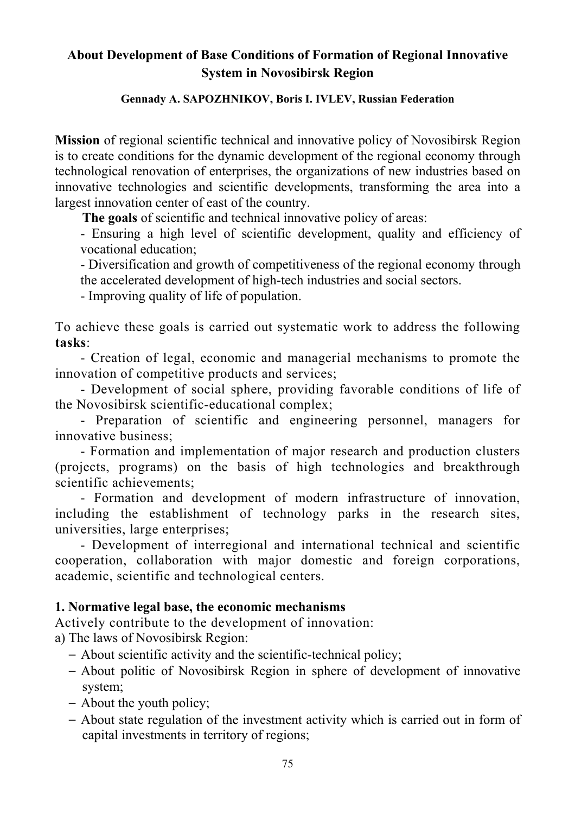# **About Development of Base Conditions of Formation of Regional Innovative System in Novosibirsk Region**

#### **Gennady A. SAPOZHNIKOV, Boris I. IVLEV, Russian Federation**

**Mission** of regional scientific technical and innovative policy of Novosibirsk Region is to create conditions for the dynamic development of the regional economy through technological renovation of enterprises, the organizations of new industries based on innovative technologies and scientific developments, transforming the area into a largest innovation center of east of the country.

**The goals** of scientific and technical innovative policy of areas:

- Ensuring a high level of scientific development, quality and efficiency of vocational education;

- Diversification and growth of competitiveness of the regional economy through the accelerated development of high-tech industries and social sectors.

- Improving quality of life of population.

To achieve these goals is carried out systematic work to address the following **tasks**:

- Creation of legal, economic and managerial mechanisms to promote the innovation of competitive products and services;

- Development of social sphere, providing favorable conditions of life of the Novosibirsk scientific-educational complex;

- Preparation of scientific and engineering personnel, managers for innovative business;

- Formation and implementation of major research and production clusters (projects, programs) on the basis of high technologies and breakthrough scientific achievements;

- Formation and development of modern infrastructure of innovation, including the establishment of technology parks in the research sites, universities, large enterprises;

- Development of interregional and international technical and scientific cooperation, collaboration with major domestic and foreign corporations, academic, scientific and technological centers.

## **1. Normative legal base, the economic mechanisms**

Actively contribute to the development of innovation:

a) The laws of Novosibirsk Region:

- − About scientific activity and the scientific-technical policy;
- − About politic of Novosibirsk Region in sphere of development of innovative system;
- − About the youth policy;
- − About state regulation of the investment activity which is carried out in form of capital investments in territory of regions;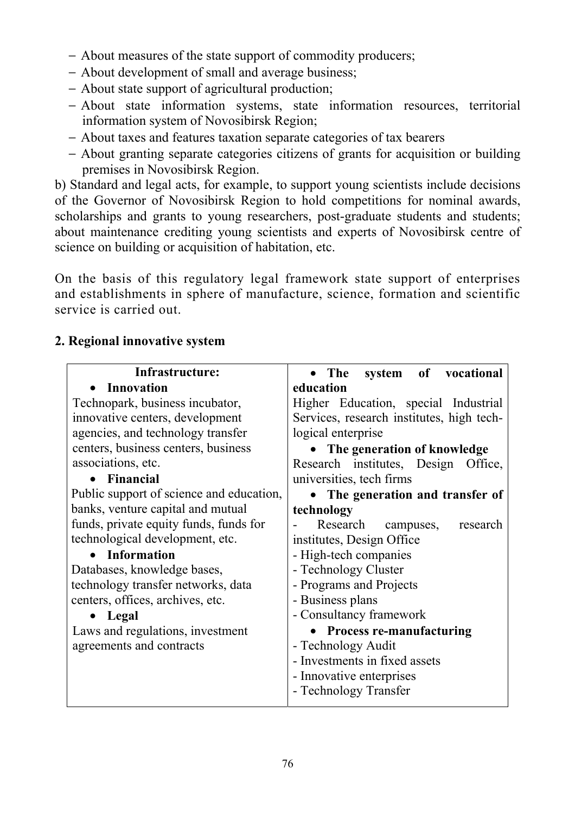- − About measures of the state support of commodity producers;
- − About development of small and average business;
- − About state support of agricultural production;
- − About state information systems, state information resources, territorial information system of Novosibirsk Region;
- − About taxes and features taxation separate categories of tax bearers
- − About granting separate categories citizens of grants for acquisition or building premises in Novosibirsk Region.

b) Standard and legal acts, for example, to support young scientists include decisions of the Governor of Novosibirsk Region to hold competitions for nominal awards, scholarships and grants to young researchers, post-graduate students and students; about maintenance crediting young scientists and experts of Novosibirsk centre of science on building or acquisition of habitation, etc.

On the basis of this regulatory legal framework state support of enterprises and establishments in sphere of manufacture, science, formation and scientific service is carried out.

## **2. Regional innovative system**

| Infrastructure:                          | system of vocational<br>• The             |
|------------------------------------------|-------------------------------------------|
| <b>Innovation</b>                        | education                                 |
| Technopark, business incubator,          | Higher Education, special Industrial      |
| innovative centers, development          | Services, research institutes, high tech- |
| agencies, and technology transfer        | logical enterprise                        |
| centers, business centers, business      | • The generation of knowledge             |
| associations, etc.                       | Research institutes, Design<br>Office,    |
| • Financial                              | universities, tech firms                  |
| Public support of science and education, | The generation and transfer of            |
| banks, venture capital and mutual        | technology                                |
| funds, private equity funds, funds for   | Research<br>research<br>campuses,         |
| technological development, etc.          | institutes, Design Office                 |
| • Information                            | - High-tech companies                     |
| Databases, knowledge bases,              | - Technology Cluster                      |
| technology transfer networks, data       | - Programs and Projects                   |
| centers, offices, archives, etc.         | - Business plans                          |
| Legal                                    | - Consultancy framework                   |
| Laws and regulations, investment         | <b>Process re-manufacturing</b>           |
| agreements and contracts                 | - Technology Audit                        |
|                                          | - Investments in fixed assets             |
|                                          | - Innovative enterprises                  |
|                                          | - Technology Transfer                     |
|                                          |                                           |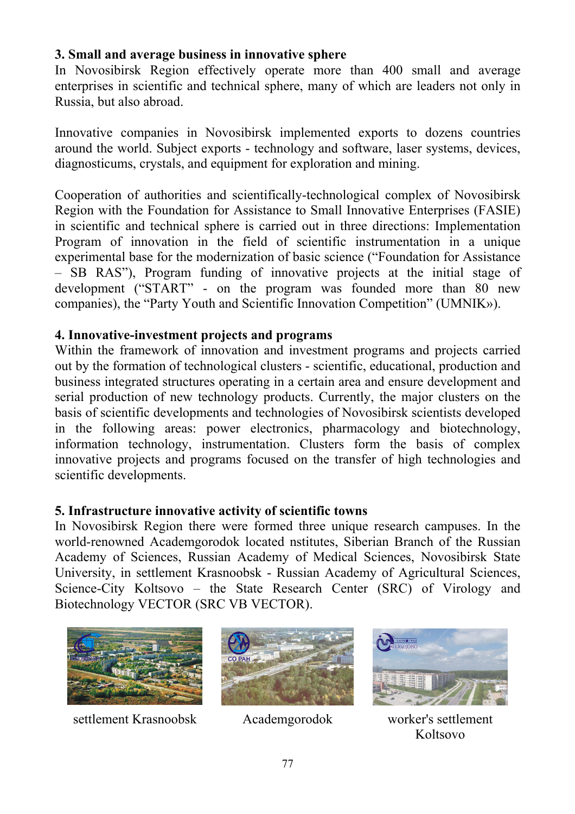## **3. Small and average business in innovative sphere**

In Novosibirsk Region effectively operate more than 400 small and average enterprises in scientific and technical sphere, many of which are leaders not only in Russia, but also abroad.

Innovative companies in Novosibirsk implemented exports to dozens countries around the world. Subject exports - technology and software, laser systems, devices, diagnosticums, crystals, and equipment for exploration and mining.

Cooperation of authorities and scientifically-technological complex of Novosibirsk Region with the Foundation for Assistance to Small Innovative Enterprises (FASIE) in scientific and technical sphere is carried out in three directions: Implementation Program of innovation in the field of scientific instrumentation in a unique experimental base for the modernization of basic science ("Foundation for Assistance – SB RAS"), Program funding of innovative projects at the initial stage of development ("START" - on the program was founded more than 80 new companies), the "Party Youth and Scientific Innovation Competition" (UMNIK»).

# **4. Innovative-investment projects and programs**

Within the framework of innovation and investment programs and projects carried out by the formation of technological clusters - scientific, educational, production and business integrated structures operating in a certain area and ensure development and serial production of new technology products. Currently, the major clusters on the basis of scientific developments and technologies of Novosibirsk scientists developed in the following areas: power electronics, pharmacology and biotechnology, information technology, instrumentation. Clusters form the basis of complex innovative projects and programs focused on the transfer of high technologies and scientific developments.

# **5. Infrastructure innovative activity of scientific towns**

In Novosibirsk Region there were formed three unique research campuses. In the world-renowned Academgorodok located nstitutes, Siberian Branch of the Russian Academy of Sciences, Russian Academy of Medical Sciences, Novosibirsk State University, in settlement Krasnoobsk - Russian Academy of Agricultural Sciences, Science-City Koltsovo – the State Research Center (SRC) of Virology and Biotechnology VECTOR (SRC VB VECTOR).



settlement Krasnoobsk Academgorodok worker's settlement





Koltsovo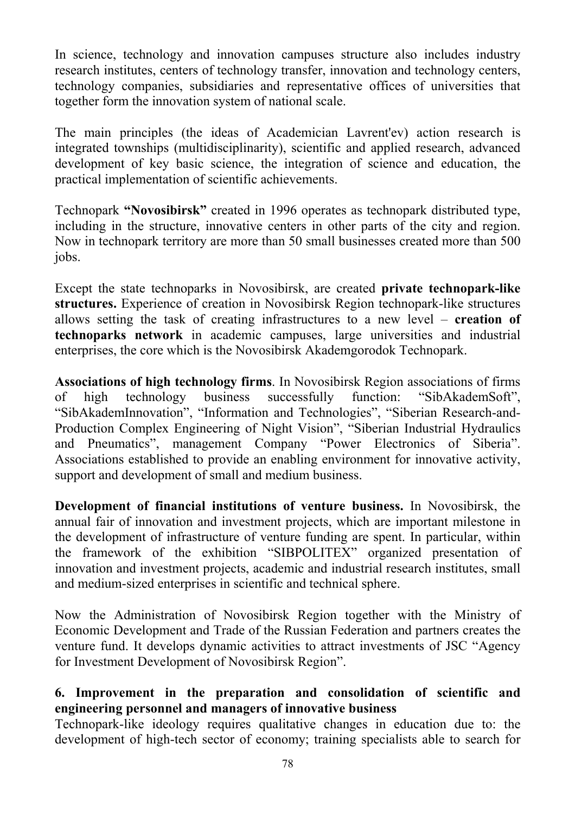In science, technology and innovation campuses structure also includes industry research institutes, centers of technology transfer, innovation and technology centers, technology companies, subsidiaries and representative offices of universities that together form the innovation system of national scale.

The main principles (the ideas of Academician Lavrent'ev) action research is integrated townships (multidisciplinarity), scientific and applied research, advanced development of key basic science, the integration of science and education, the practical implementation of scientific achievements.

Technopark **"Novosibirsk"** created in 1996 operates as technopark distributed type, including in the structure, innovative centers in other parts of the city and region. Now in technopark territory are more than 50 small businesses created more than 500 jobs.

Except the state technoparks in Novosibirsk, are created **private technopark-like structures.** Experience of creation in Novosibirsk Region technopark-like structures allows setting the task of creating infrastructures to a new level – **creation of technoparks network** in academic campuses, large universities and industrial enterprises, the core which is the Novosibirsk Akademgorodok Technopark.

**Associations of high technology firms**. In Novosibirsk Region associations of firms of high technology business successfully function: "SibAkademSoft", "SibAkademInnovation", "Information and Technologies", "Siberian Research-and-Production Complex Engineering of Night Vision", "Siberian Industrial Hydraulics and Pneumatics", management Company "Power Electronics of Siberia". Associations established to provide an enabling environment for innovative activity, support and development of small and medium business.

**Development of financial institutions of venture business.** In Novosibirsk, the annual fair of innovation and investment projects, which are important milestone in the development of infrastructure of venture funding are spent. In particular, within the framework of the exhibition "SIBPOLITEX" organized presentation of innovation and investment projects, academic and industrial research institutes, small and medium-sized enterprises in scientific and technical sphere.

Now the Administration of Novosibirsk Region together with the Ministry of Economic Development and Trade of the Russian Federation and partners creates the venture fund. It develops dynamic activities to attract investments of JSC "Agency for Investment Development of Novosibirsk Region".

## **6. Improvement in the preparation and consolidation of scientific and engineering personnel and managers of innovative business**

Technopark-like ideology requires qualitative changes in education due to: the development of high-tech sector of economy; training specialists able to search for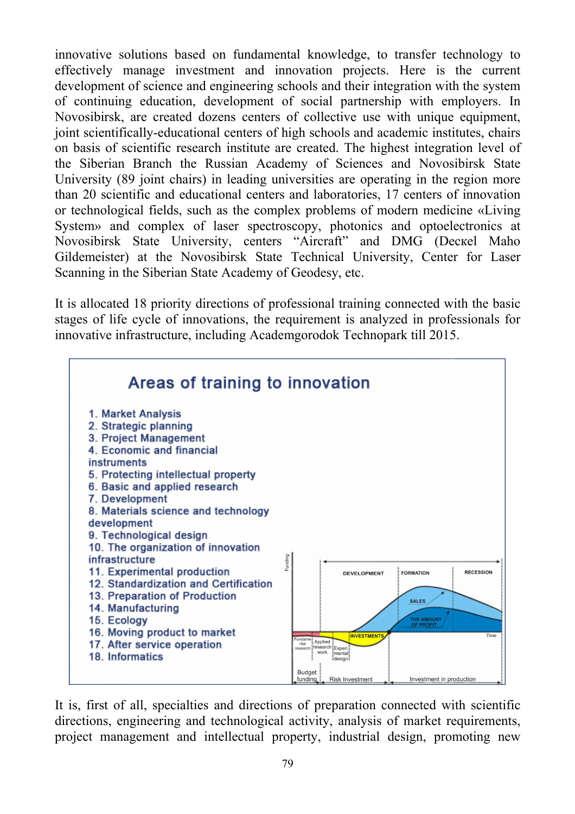innovative solutions based on fundamental knowledge, to transfer technology to effectively manage investment and innovation projects. Here is the current development of science and engineering schools and their integration with the system of continuing education, development of social partnership with employers. In Novosibirsk, are created dozens centers of collective use with unique equipment, joint scientifically-educational centers of high schools and academic institutes, chairs on basis of scientific research institute are created. The highest integration level of the Siberian Branch the Russian Academy of Sciences and Novosibirsk State University (89 joint chairs) in leading universities are operating in the region more than 20 scientific and educational centers and laboratories, 17 centers of innovation or technological fields, such as the complex problems of modern medicine «Living System» and complex of laser spectroscopy, photonics and optoelectronics at Novosibirsk State University, centers "Aircraft" and DMG (Dескеl Маhо Gildemeister) at the Novosibirsk State Technical University, Center for Laser Scanning in the Siberian State Academy of Geodesy, etc.

It is allocated 18 priority directions of professional training connected with the basic stages of life cycle of innovations, the requirement is analyzed in professionals for innovative infrastructure, including Academgorodok Technopark till 2015.



It is, first of all, specialties and directions of preparation connected with scientific directions, engineering and technological activity, analysis of market requirements, project management and intellectual property, industrial design, promoting new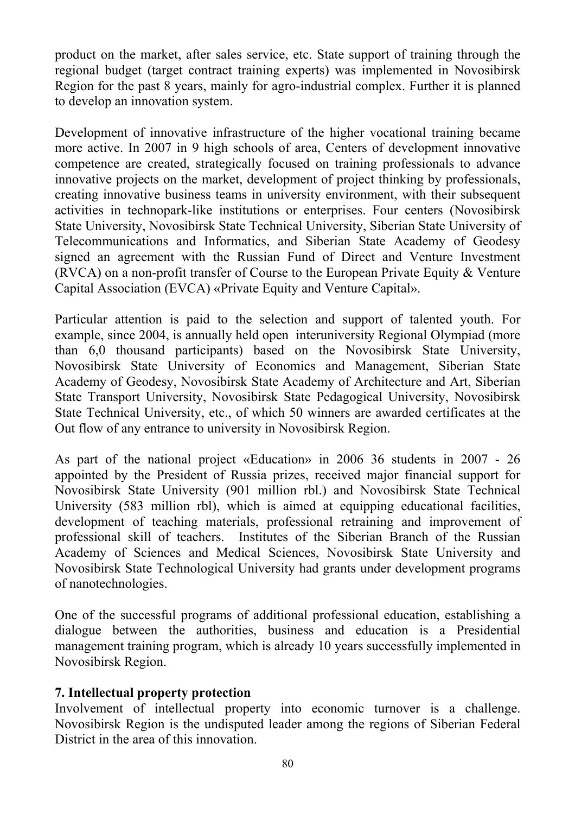product on the market, after sales service, etc. State support of training through the regional budget (target contract training experts) was implemented in Novosibirsk Region for the past 8 years, mainly for agro-industrial complex. Further it is planned to develop an innovation system.

Development of innovative infrastructure of the higher vocational training became more active. In 2007 in 9 high schools of area, Centers of development innovative competence are created, strategically focused on training professionals to advance innovative projects on the market, development of project thinking by professionals, creating innovative business teams in university environment, with their subsequent activities in technopark-like institutions or enterprises. Four centers (Novosibirsk State University, Novosibirsk State Technical University, Siberian State University of Telecommunications and Informatics, and Siberian State Academy of Geodesy signed an agreement with the Russian Fund of Direct and Venture Investment (RVCA) on a non-profit transfer of Course to the European Private Equity & Venture Capital Association (EVCA) «Private Equity and Venture Capital».

Particular attention is paid to the selection and support of talented youth. For example, since 2004, is annually held open interuniversity Regional Olympiad (more than 6,0 thousand participants) based on the Novosibirsk State University, Novosibirsk State University of Economics and Management, Siberian State Academy of Geodesy, Novosibirsk State Academy of Architecture and Art, Siberian State Transport University, Novosibirsk State Pedagogical University, Novosibirsk State Technical University, etc., of which 50 winners are awarded certificates at the Out flow of any entrance to university in Novosibirsk Region.

As part of the national project «Education» in 2006 36 students in 2007 - 26 appointed by the President of Russia prizes, received major financial support for Novosibirsk State University (901 million rbl.) and Novosibirsk State Technical University (583 million rbl), which is aimed at equipping educational facilities, development of teaching materials, professional retraining and improvement of professional skill of teachers. Institutes of the Siberian Branch of the Russian Academy of Sciences and Medical Sciences, Novosibirsk State University and Novosibirsk State Technological University had grants under development programs of nanotechnologies.

One of the successful programs of additional professional education, establishing a dialogue between the authorities, business and education is a Presidential management training program, which is already 10 years successfully implemented in Novosibirsk Region.

### **7. Intellectual property protection**

Involvement of intellectual property into economic turnover is a challenge. Novosibirsk Region is the undisputed leader among the regions of Siberian Federal District in the area of this innovation.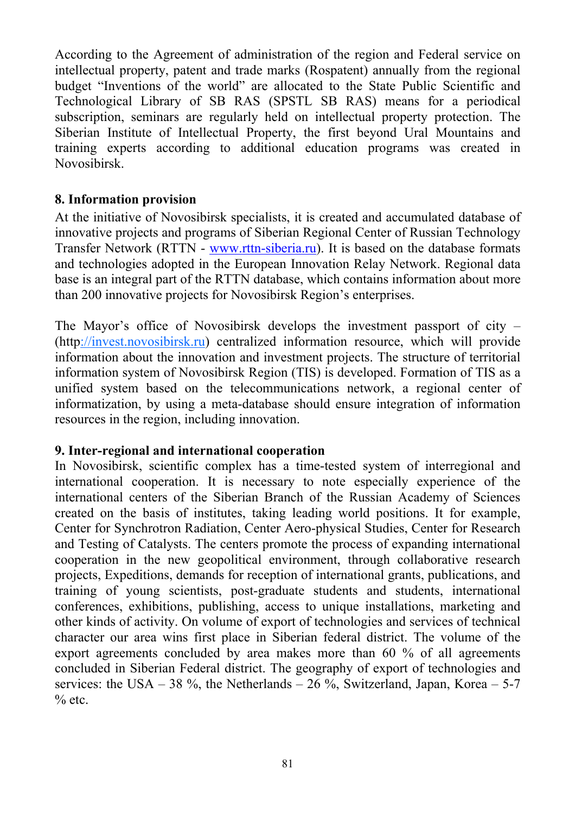According to the Agreement of administration of the region and Federal service on intellectual property, patent and trade marks (Rospatent) annually from the regional budget "Inventions of the world" are allocated to the State Public Scientific and Technological Library of SB RAS (SPSTL SB RAS) means for a periodical subscription, seminars are regularly held on intellectual property protection. The Siberian Institute of Intellectual Property, the first beyond Ural Mountains and training experts according to additional education programs was created in Novosibirsk.

## **8. Information provision**

At the initiative of Novosibirsk specialists, it is created and accumulated database of innovative projects and programs of Siberian Regional Center of Russian Technology Transfer Network (RTTN - www.rttn-siberia.ru). It is based on the database formats and technologies adopted in the European Innovation Relay Network. Regional data base is an integral part of the RTTN database, which contains information about more than 200 innovative projects for Novosibirsk Region's enterprises.

The Mayor's office of Novosibirsk develops the investment passport of city – (http://invest.novosibirsk.ru) centralized information resource, which will provide information about the innovation and investment projects. The structure of territorial information system of Novosibirsk Region (TIS) is developed. Formation of TIS as a unified system based on the telecommunications network, a regional center of informatization, by using a meta-database should ensure integration of information resources in the region, including innovation.

### **9. Inter-regional and international cooperation**

In Novosibirsk, scientific complex has a time-tested system of interregional and international cooperation. It is necessary to note especially experience of the international centers of the Siberian Branch of the Russian Academy of Sciences created on the basis of institutes, taking leading world positions. It for example, Center for Synchrotron Radiation, Center Aero-physical Studies, Center for Research and Testing of Catalysts. The centers promote the process of expanding international cooperation in the new geopolitical environment, through collaborative research projects, Expeditions, demands for reception of international grants, publications, and training of young scientists, post-graduate students and students, international conferences, exhibitions, publishing, access to unique installations, marketing and other kinds of activity. On volume of export of technologies and services of technical character our area wins first place in Siberian federal district. The volume of the export agreements concluded by area makes more than 60 % of all agreements concluded in Siberian Federal district. The geography of export of technologies and services: the USA – 38 %, the Netherlands – 26 %, Switzerland, Japan, Korea – 5-7  $%$  etc.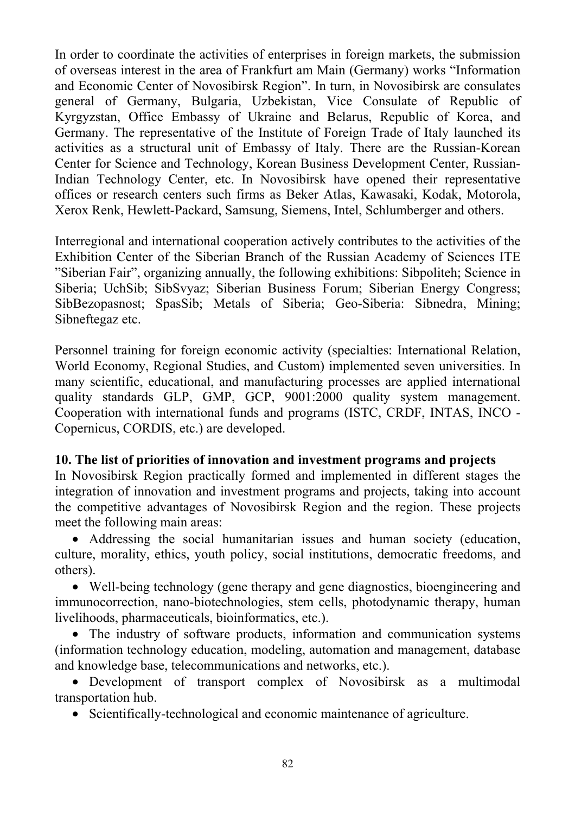In order to coordinate the activities of enterprises in foreign markets, the submission of overseas interest in the area of Frankfurt am Main (Germany) works "Information and Economic Center of Novosibirsk Region". In turn, in Novosibirsk are consulates general of Germany, Bulgaria, Uzbekistan, Vice Consulate of Republic of Kyrgyzstan, Office Embassy of Ukraine and Belarus, Republic of Korea, and Germany. The representative of the Institute of Foreign Trade of Italy launched its activities as a structural unit of Embassy of Italy. There are the Russian-Korean Center for Science and Technology, Korean Business Development Center, Russian-Indian Technology Center, etc. In Novosibirsk have opened their representative offices or research centers such firms as Beker Atlas, Kawasaki, Kodak, Motorola, Xerox Renk, Hewlett-Packard, Samsung, Siemens, Intel, Schlumberger and others.

Interregional and international cooperation actively contributes to the activities of the Exhibition Center of the Siberian Branch of the Russian Academy of Sciences ITE "Siberian Fair", organizing annually, the following exhibitions: Sibpoliteh; Science in Siberia; UchSib; SibSvyaz; Siberian Business Forum; Siberian Energy Congress; SibBezopasnost; SpasSib; Metals of Siberia; Geo-Siberia: Sibnedra, Mining; Sibneftegaz etc.

Personnel training for foreign economic activity (specialties: International Relation, World Economy, Regional Studies, and Custom) implemented seven universities. In many scientific, educational, and manufacturing processes are applied international quality standards GLP, GMP, GCP, 9001:2000 quality system management. Cooperation with international funds and programs (ISTC, CRDF, INTAS, INCO - Copernicus, CORDIS, etc.) are developed.

## **10. The list of priorities of innovation and investment programs and projects**

In Novosibirsk Region practically formed and implemented in different stages the integration of innovation and investment programs and projects, taking into account the competitive advantages of Novosibirsk Region and the region. These projects meet the following main areas:

• Addressing the social humanitarian issues and human society (education, culture, morality, ethics, youth policy, social institutions, democratic freedoms, and others).

• Well-being technology (gene therapy and gene diagnostics, bioengineering and immunocorrection, nano-biotechnologies, stem cells, photodynamic therapy, human livelihoods, pharmaceuticals, bioinformatics, etc.).

• The industry of software products, information and communication systems (information technology education, modeling, automation and management, database and knowledge base, telecommunications and networks, etc.).

• Development of transport complex of Novosibirsk as a multimodal transportation hub.

• Scientifically-technological and economic maintenance of agriculture.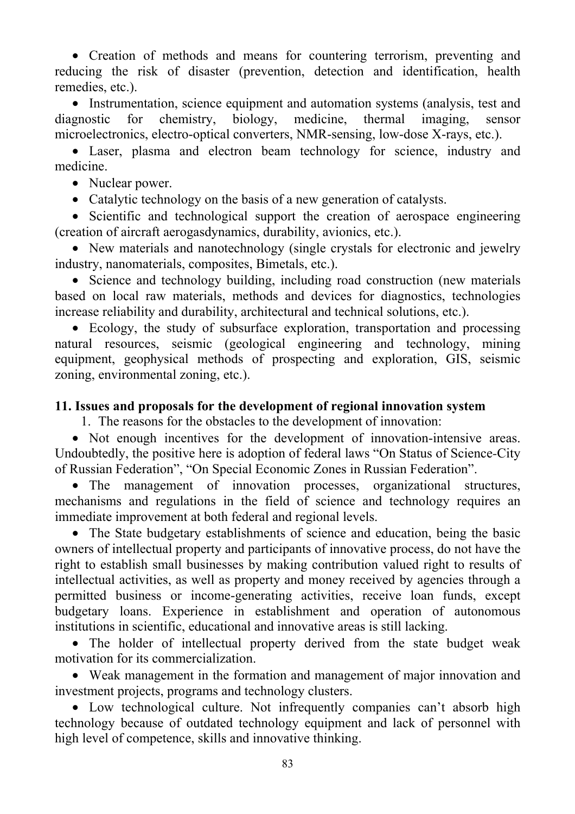• Creation of methods and means for countering terrorism, preventing and reducing the risk of disaster (prevention, detection and identification, health remedies, etc.).

• Instrumentation, science equipment and automation systems (analysis, test and diagnostic for chemistry, biology, medicine, thermal imaging, sensor microelectronics, electro-optical converters, NMR-sensing, low-dose X-rays, etc.).

• Laser, plasma and electron beam technology for science, industry and medicine.

• Nuclear power.

• Catalytic technology on the basis of a new generation of catalysts.

• Scientific and technological support the creation of aerospace engineering (creation of aircraft aerogasdynamics, durability, avionics, etc.).

• New materials and nanotechnology (single crystals for electronic and jewelry industry, nanomaterials, composites, Bimetals, etc.).

• Science and technology building, including road construction (new materials based on local raw materials, methods and devices for diagnostics, technologies increase reliability and durability, architectural and technical solutions, etc.).

• Ecology, the study of subsurface exploration, transportation and processing natural resources, seismic (geological engineering and technology, mining equipment, geophysical methods of prospecting and exploration, GIS, seismic zoning, environmental zoning, etc.).

#### **11. Issues and proposals for the development of regional innovation system**

1. The reasons for the obstacles to the development of innovation:

• Not enough incentives for the development of innovation-intensive areas. Undoubtedly, the positive here is adoption of federal laws "On Status of Science*-*City of Russian Federation", "On Special Economic Zones in Russian Federation".

• The management of innovation processes, organizational structures, mechanisms and regulations in the field of science and technology requires an immediate improvement at both federal and regional levels.

• The State budgetary establishments of science and education, being the basic owners of intellectual property and participants of innovative process, do not have the right to establish small businesses by making contribution valued right to results of intellectual activities, as well as property and money received by agencies through a permitted business or income-generating activities, receive loan funds, except budgetary loans. Experience in establishment and operation of autonomous institutions in scientific, educational and innovative areas is still lacking.

• The holder of intellectual property derived from the state budget weak motivation for its commercialization.

• Weak management in the formation and management of major innovation and investment projects, programs and technology clusters.

• Low technological culture. Not infrequently companies can't absorb high technology because of outdated technology equipment and lack of personnel with high level of competence, skills and innovative thinking.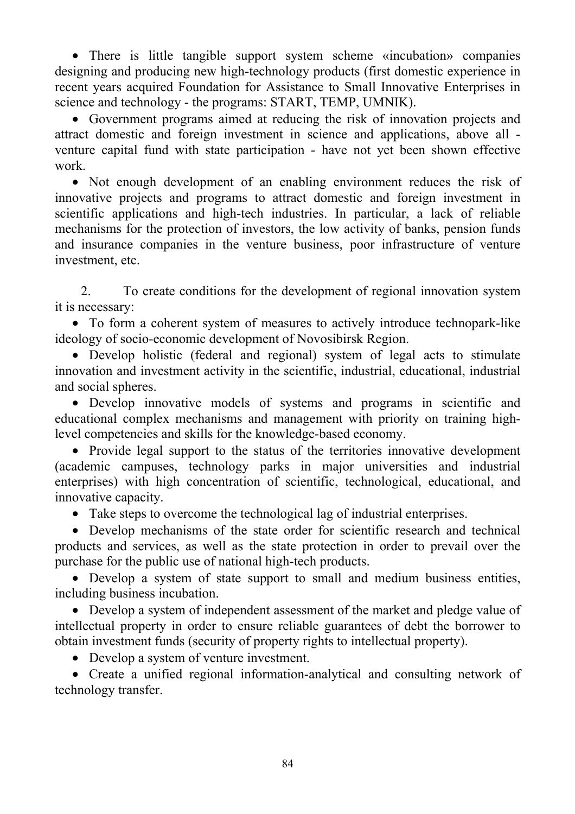• There is little tangible support system scheme «incubation» companies designing and producing new high-technology products (first domestic experience in recent years acquired Foundation for Assistance to Small Innovative Enterprises in science and technology - the programs: START, TEMP, UMNIK).

• Government programs aimed at reducing the risk of innovation projects and attract domestic and foreign investment in science and applications, above all venture capital fund with state participation - have not yet been shown effective work.

• Not enough development of an enabling environment reduces the risk of innovative projects and programs to attract domestic and foreign investment in scientific applications and high-tech industries. In particular, a lack of reliable mechanisms for the protection of investors, the low activity of banks, pension funds and insurance companies in the venture business, poor infrastructure of venture investment, etc.

2. To create conditions for the development of regional innovation system it is necessary:

• To form a coherent system of measures to actively introduce technopark-like ideology of socio-economic development of Novosibirsk Region.

• Develop holistic (federal and regional) system of legal acts to stimulate innovation and investment activity in the scientific, industrial, educational, industrial and social spheres.

• Develop innovative models of systems and programs in scientific and educational complex mechanisms and management with priority on training highlevel competencies and skills for the knowledge-based economy.

• Provide legal support to the status of the territories innovative development (academic campuses, technology parks in major universities and industrial enterprises) with high concentration of scientific, technological, educational, and innovative capacity.

• Take steps to overcome the technological lag of industrial enterprises.

• Develop mechanisms of the state order for scientific research and technical products and services, as well as the state protection in order to prevail over the purchase for the public use of national high-tech products.

• Develop a system of state support to small and medium business entities, including business incubation.

• Develop a system of independent assessment of the market and pledge value of intellectual property in order to ensure reliable guarantees of debt the borrower to obtain investment funds (security of property rights to intellectual property).

• Develop a system of venture investment.

• Create a unified regional information-analytical and consulting network of technology transfer.